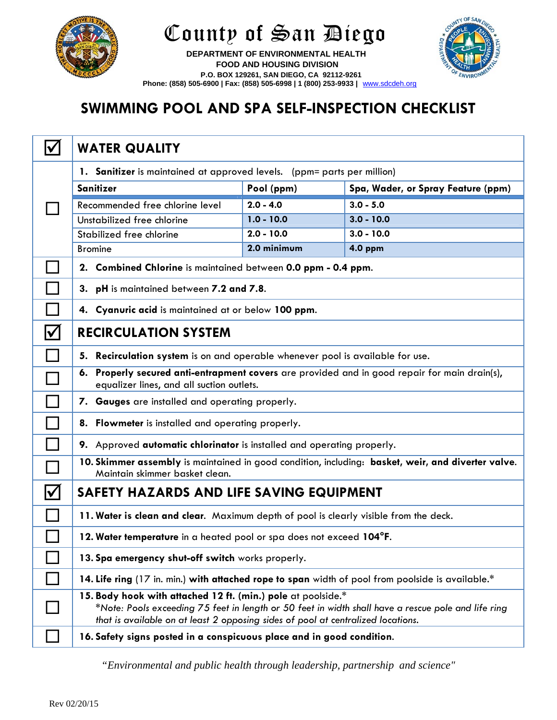

## County of San Diego



 **DEPARTMENT OF ENVIRONMENTAL HEALTH FOOD AND HOUSING DIVISION P.O. BOX 129261, SAN DIEGO, CA 92112-9261 Phone: (858) 505-6900 | Fax: (858) 505-6998 | 1 (800) 253-9933 |** www.sdcdeh.org

## **SWIMMING POOL AND SPA SELF-INSPECTION CHECKLIST**

|                      | <b>WATER QUALITY</b>                                                                                                                                                                                                                                    |              |                                    |  |
|----------------------|---------------------------------------------------------------------------------------------------------------------------------------------------------------------------------------------------------------------------------------------------------|--------------|------------------------------------|--|
|                      | 1. Sanitizer is maintained at approved levels. (ppm= parts per million)                                                                                                                                                                                 |              |                                    |  |
|                      | <b>Sanitizer</b>                                                                                                                                                                                                                                        | Pool (ppm)   | Spa, Wader, or Spray Feature (ppm) |  |
|                      | Recommended free chlorine level                                                                                                                                                                                                                         | $2.0 - 4.0$  | $3.0 - 5.0$                        |  |
|                      | Unstabilized free chlorine                                                                                                                                                                                                                              | $1.0 - 10.0$ | $3.0 - 10.0$                       |  |
|                      | Stabilized free chlorine                                                                                                                                                                                                                                | $2.0 - 10.0$ | $3.0 - 10.0$                       |  |
|                      | <b>Bromine</b>                                                                                                                                                                                                                                          | 2.0 minimum  | <b>4.0 ppm</b>                     |  |
|                      | 2. Combined Chlorine is maintained between 0.0 ppm - 0.4 ppm.                                                                                                                                                                                           |              |                                    |  |
|                      | 3. pH is maintained between 7.2 and 7.8.                                                                                                                                                                                                                |              |                                    |  |
|                      | 4. Cyanuric acid is maintained at or below 100 ppm.                                                                                                                                                                                                     |              |                                    |  |
| $\blacktriangledown$ | <b>RECIRCULATION SYSTEM</b>                                                                                                                                                                                                                             |              |                                    |  |
|                      | 5. Recirculation system is on and operable whenever pool is available for use.                                                                                                                                                                          |              |                                    |  |
|                      | 6. Properly secured anti-entrapment covers are provided and in good repair for main drain(s),<br>equalizer lines, and all suction outlets.                                                                                                              |              |                                    |  |
|                      | 7. Gauges are installed and operating properly.                                                                                                                                                                                                         |              |                                    |  |
|                      | 8. Flowmeter is installed and operating properly.                                                                                                                                                                                                       |              |                                    |  |
|                      | 9. Approved automatic chlorinator is installed and operating properly.                                                                                                                                                                                  |              |                                    |  |
|                      | 10. Skimmer assembly is maintained in good condition, including: basket, weir, and diverter valve.<br>Maintain skimmer basket clean.                                                                                                                    |              |                                    |  |
| $\blacktriangledown$ | SAFETY HAZARDS AND LIFE SAVING EQUIPMENT                                                                                                                                                                                                                |              |                                    |  |
|                      | 11. Water is clean and clear. Maximum depth of pool is clearly visible from the deck.                                                                                                                                                                   |              |                                    |  |
|                      | 12. Water temperature in a heated pool or spa does not exceed 104°F.                                                                                                                                                                                    |              |                                    |  |
|                      | 13. Spa emergency shut-off switch works properly.                                                                                                                                                                                                       |              |                                    |  |
|                      | 14. Life ring (17 in. min.) with attached rope to span width of pool from poolside is available.*                                                                                                                                                       |              |                                    |  |
|                      | 15. Body hook with attached 12 ft. (min.) pole at poolside.*<br>*Note: Pools exceeding 75 feet in length or 50 feet in width shall have a rescue pole and life ring<br>that is available on at least 2 opposing sides of pool at centralized locations. |              |                                    |  |
|                      | 16. Safety signs posted in a conspicuous place and in good condition.                                                                                                                                                                                   |              |                                    |  |

*"Environmental and public health through leadership, partnership and science"*